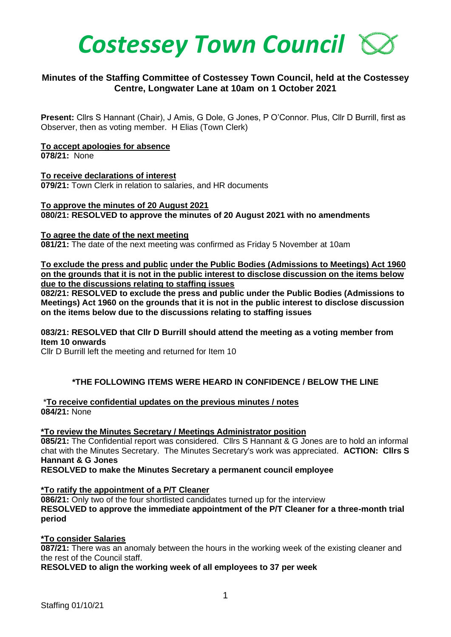

# **Minutes of the Staffing Committee of Costessey Town Council, held at the Costessey Centre, Longwater Lane at 10am on 1 October 2021**

**Present:** Cllrs S Hannant (Chair), J Amis, G Dole, G Jones, P O'Connor. Plus, Cllr D Burrill, first as Observer, then as voting member. H Elias (Town Clerk)

### **To accept apologies for absence**

**078/21:** None

**To receive declarations of interest 079/21:** Town Clerk in relation to salaries, and HR documents

### **To approve the minutes of 20 August 2021**

**080/21: RESOLVED to approve the minutes of 20 August 2021 with no amendments**

#### **To agree the date of the next meeting**

**081/21:** The date of the next meeting was confirmed as Friday 5 November at 10am

**To exclude the press and public under the Public Bodies (Admissions to Meetings) Act 1960 on the grounds that it is not in the public interest to disclose discussion on the items below due to the discussions relating to staffing issues**

**082/21: RESOLVED to exclude the press and public under the Public Bodies (Admissions to Meetings) Act 1960 on the grounds that it is not in the public interest to disclose discussion on the items below due to the discussions relating to staffing issues** 

### **083/21: RESOLVED that Cllr D Burrill should attend the meeting as a voting member from Item 10 onwards**

Cllr D Burrill left the meeting and returned for Item 10

# **\*THE FOLLOWING ITEMS WERE HEARD IN CONFIDENCE / BELOW THE LINE**

\***To receive confidential updates on the previous minutes / notes 084/21:** None

#### **\*To review the Minutes Secretary / Meetings Administrator position**

**085/21:** The Confidential report was considered. Cllrs S Hannant & G Jones are to hold an informal chat with the Minutes Secretary. The Minutes Secretary's work was appreciated. **ACTION: Cllrs S Hannant & G Jones**

**RESOLVED to make the Minutes Secretary a permanent council employee**

#### **\*To ratify the appointment of a P/T Cleaner**

**086/21:** Only two of the four shortlisted candidates turned up for the interview **RESOLVED to approve the immediate appointment of the P/T Cleaner for a three-month trial period** 

#### **\*To consider Salaries**

**087/21:** There was an anomaly between the hours in the working week of the existing cleaner and the rest of the Council staff.

**RESOLVED to align the working week of all employees to 37 per week**